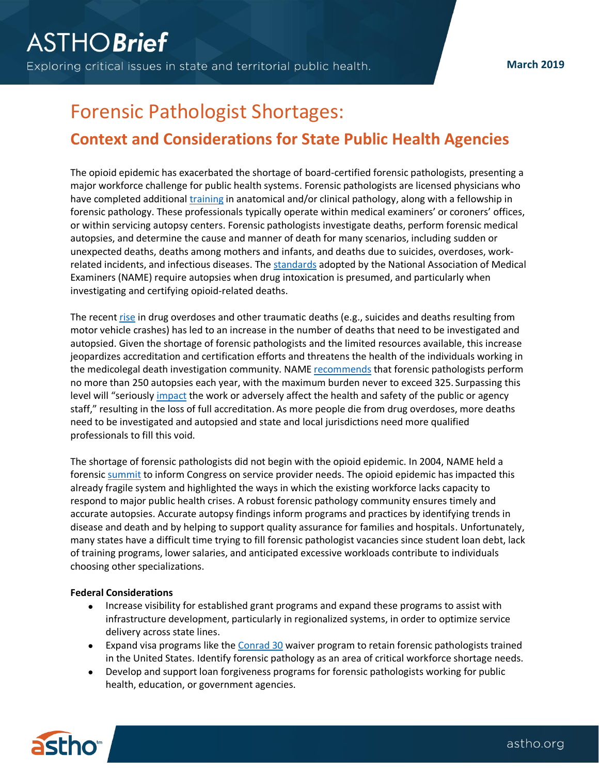# Forensic Pathologist Shortages:

## **Context and Considerations for State Public Health Agencies**

The opioid epidemic has exacerbated the shortage of board-certified forensic pathologists, presenting a major workforce challenge for public health systems. Forensic pathologists are licensed physicians who have completed additional [training](https://nij.gov/funding/documents/solicitations/NIJ-2018-13743.pdf) in anatomical and/or clinical pathology, along with a fellowship in forensic pathology. These professionals typically operate within medical examiners' or coroners' offices, or within servicing autopsy centers. Forensic pathologists investigate deaths, perform forensic medical autopsies, and determine the cause and manner of death for many scenarios, including sudden or unexpected deaths, deaths among mothers and infants, and deaths due to suicides, overdoses, workrelated incidents, and infectious diseases. The [standards](https://name.memberclicks.net/assets/docs/a8f3230e-d063-4681-8678-e3d15ce9effb.pdf) adopted by the National Association of Medical Examiners (NAME) require autopsies when drug intoxication is presumed, and particularly when investigating and certifying opioid-related deaths.

The recent [rise](https://www.cdc.gov/nchs/data/databriefs/db329-h.pdf) in drug overdoses and other traumatic deaths (e.g., suicides and deaths resulting from motor vehicle crashes) has led to an increase in the number of deaths that need to be investigated and autopsied. Given the shortage of forensic pathologists and the limited resources available, this increase jeopardizes accreditation and certification efforts and threatens the health of the individuals working in the medicolegal death investigation community. NAME [recommends](https://name.memberclicks.net/assets/docs/684b2442-ae68-4e64-9ecc-015f8d0f849e.pdf) that forensic pathologists perform no more than 250 autopsies each year, with the maximum burden never to exceed 325. Surpassing this level will "seriously [impact](https://name.memberclicks.net/assets/docs/1d082f4f-e2a4-4a84-91b7-a8eb1ae089ee.pdf) the work or adversely affect the health and safety of the public or agency staff," resulting in the loss of full accreditation. As more people die from drug overdoses, more deaths need to be investigated and autopsied and state and local jurisdictions need more qualified professionals to fill this void.

The shortage of forensic pathologists did not begin with the opioid epidemic. In 2004, NAME held a forensic [summit](https://www.ncjrs.gov/pdffiles1/nij/grants/213421.pdf) to inform Congress on service provider needs. The opioid epidemic has impacted this already fragile system and highlighted the ways in which the existing workforce lacks capacity to respond to major public health crises. A robust forensic pathology community ensures timely and accurate autopsies. Accurate autopsy findings inform programs and practices by identifying trends in disease and death and by helping to support quality assurance for families and hospitals. Unfortunately, many states have a difficult time trying to fill forensic pathologist vacancies since student loan debt, lack of training programs, lower salaries, and anticipated excessive workloads contribute to individuals choosing other specializations.

### **Federal Considerations**

- Increase visibility for established grant programs and expand these programs to assist with infrastructure development, particularly in regionalized systems, in order to optimize service delivery across state lines.
- Expand visa programs like th[e Conrad](https://www.uscis.gov/working-united-states/students-and-exchange-visitors/conrad-30-waiver-program) 30 waiver program to retain forensic pathologists trained in the United States. Identify forensic pathology as an area of critical workforce shortage needs.
- Develop and support loan forgiveness programs for forensic pathologists working for public health, education, or government agencies.